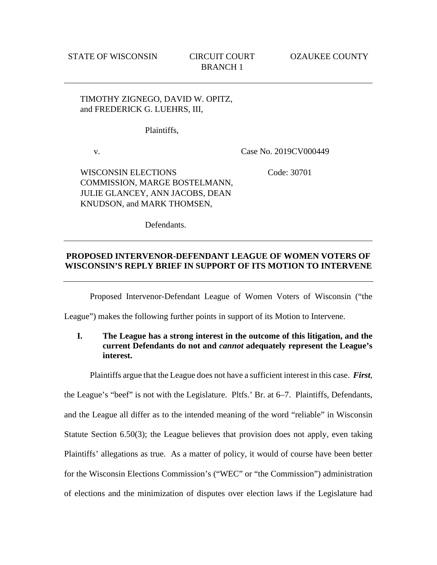TIMOTHY ZIGNEGO, DAVID W. OPITZ, and FREDERICK G. LUEHRS, III,

Plaintiffs,

v.

Case No. 2019CV000449

WISCONSIN ELECTIONS COMMISSION, MARGE BOSTELMANN, JULIE GLANCEY, ANN JACOBS, DEAN KNUDSON, and MARK THOMSEN,

Code: 30701

Defendants.

## **PROPOSED INTERVENOR-DEFENDANT LEAGUE OF WOMEN VOTERS OF WISCONSIN'S REPLY BRIEF IN SUPPORT OF ITS MOTION TO INTERVENE**

Proposed Intervenor-Defendant League of Women Voters of Wisconsin ("the

League") makes the following further points in support of its Motion to Intervene.

**I. The League has a strong interest in the outcome of this litigation, and the current Defendants do not and** *cannot* **adequately represent the League's interest.** 

Plaintiffs argue that the League does not have a sufficient interest in this case. *First*, the League's "beef" is not with the Legislature. Pltfs.' Br. at 6–7. Plaintiffs, Defendants, and the League all differ as to the intended meaning of the word "reliable" in Wisconsin Statute Section 6.50(3); the League believes that provision does not apply, even taking Plaintiffs' allegations as true. As a matter of policy, it would of course have been better for the Wisconsin Elections Commission's ("WEC" or "the Commission") administration of elections and the minimization of disputes over election laws if the Legislature had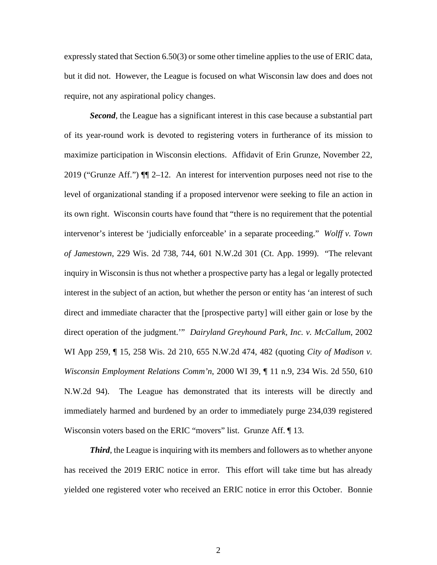expressly stated that Section 6.50(3) or some other timeline applies to the use of ERIC data, but it did not. However, the League is focused on what Wisconsin law does and does not require, not any aspirational policy changes.

*Second*, the League has a significant interest in this case because a substantial part of its year-round work is devoted to registering voters in furtherance of its mission to maximize participation in Wisconsin elections. Affidavit of Erin Grunze, November 22, 2019 ("Grunze Aff.") ¶¶ 2–12. An interest for intervention purposes need not rise to the level of organizational standing if a proposed intervenor were seeking to file an action in its own right. Wisconsin courts have found that "there is no requirement that the potential intervenor's interest be 'judicially enforceable' in a separate proceeding." *Wolff v. Town of Jamestown*, 229 Wis. 2d 738, 744, 601 N.W.2d 301 (Ct. App. 1999). "The relevant inquiry in Wisconsin is thus not whether a prospective party has a legal or legally protected interest in the subject of an action, but whether the person or entity has 'an interest of such direct and immediate character that the [prospective party] will either gain or lose by the direct operation of the judgment.'" *Dairyland Greyhound Park, Inc. v. McCallum*, 2002 WI App 259, ¶ 15, 258 Wis. 2d 210, 655 N.W.2d 474, 482 (quoting *City of Madison v. Wisconsin Employment Relations Comm'n*, 2000 WI 39, ¶ 11 n.9, 234 Wis. 2d 550, 610 N.W.2d 94). The League has demonstrated that its interests will be directly and immediately harmed and burdened by an order to immediately purge 234,039 registered Wisconsin voters based on the ERIC "movers" list. Grunze Aff. 13.

*Third*, the League is inquiring with its members and followers as to whether anyone has received the 2019 ERIC notice in error. This effort will take time but has already yielded one registered voter who received an ERIC notice in error this October. Bonnie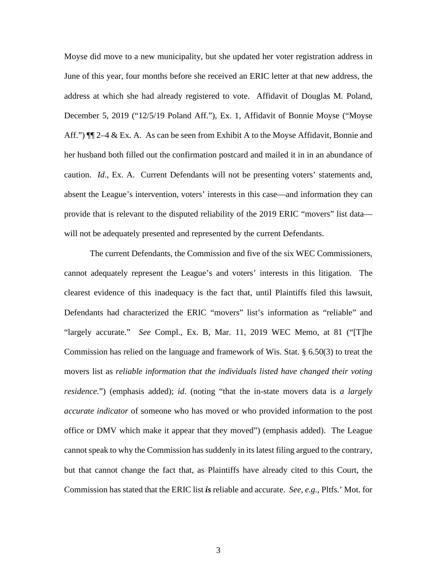Moyse did move to a new municipality, but she updated her voter registration address in June of this year, four months before she received an ERIC letter at that new address, the address at which she had already registered to vote. Affidavit of Douglas M. Poland, December 5, 2019 ("12/5/19 Poland Aff."), Ex. 1, Affidavit of Bonnie Moyse ("Moyse Aff.") ¶¶ 2–4 & Ex. A. As can be seen from Exhibit A to the Moyse Affidavit, Bonnie and her husband both filled out the confirmation postcard and mailed it in in an abundance of caution. *Id*., Ex. A. Current Defendants will not be presenting voters' statements and, absent the League's intervention, voters' interests in this case—and information they can provide that is relevant to the disputed reliability of the 2019 ERIC "movers" list data will not be adequately presented and represented by the current Defendants.

The current Defendants, the Commission and five of the six WEC Commissioners, cannot adequately represent the League's and voters' interests in this litigation. The clearest evidence of this inadequacy is the fact that, until Plaintiffs filed this lawsuit, Defendants had characterized the ERIC "movers" list's information as "reliable" and "largely accurate." *See* Compl., Ex. B, Mar. 11, 2019 WEC Memo, at 81 ("[T]he Commission has relied on the language and framework of Wis. Stat. § 6.50(3) to treat the movers list as *reliable information that the individuals listed have changed their voting residence*.") (emphasis added); *id*. (noting "that the in-state movers data is *a largely accurate indicator* of someone who has moved or who provided information to the post office or DMV which make it appear that they moved") (emphasis added). The League cannot speak to why the Commission has suddenly in its latest filing argued to the contrary, but that cannot change the fact that, as Plaintiffs have already cited to this Court, the Commission has stated that the ERIC list *is* reliable and accurate. *See, e.g.*, Pltfs.' Mot. for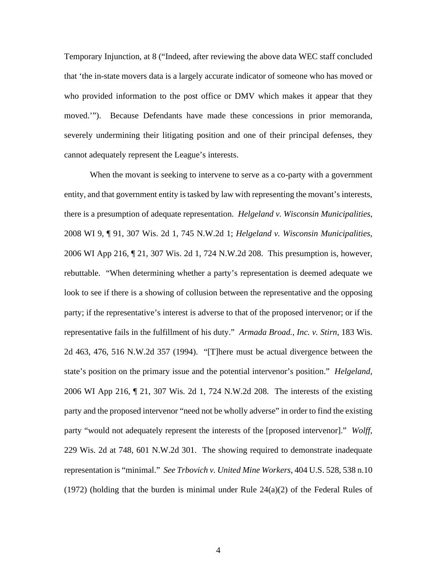Temporary Injunction, at 8 ("Indeed, after reviewing the above data WEC staff concluded that 'the in-state movers data is a largely accurate indicator of someone who has moved or who provided information to the post office or DMV which makes it appear that they moved.'"). Because Defendants have made these concessions in prior memoranda, severely undermining their litigating position and one of their principal defenses, they cannot adequately represent the League's interests.

When the movant is seeking to intervene to serve as a co-party with a government entity, and that government entity is tasked by law with representing the movant's interests, there is a presumption of adequate representation. *Helgeland v. Wisconsin Municipalities*, 2008 WI 9, ¶ 91, 307 Wis. 2d 1, 745 N.W.2d 1; *Helgeland v. Wisconsin Municipalities*, 2006 WI App 216, ¶ 21, 307 Wis. 2d 1, 724 N.W.2d 208. This presumption is, however, rebuttable. "When determining whether a party's representation is deemed adequate we look to see if there is a showing of collusion between the representative and the opposing party; if the representative's interest is adverse to that of the proposed intervenor; or if the representative fails in the fulfillment of his duty." *Armada Broad., Inc. v. Stirn*, 183 Wis. 2d 463, 476, 516 N.W.2d 357 (1994). "[T]here must be actual divergence between the state's position on the primary issue and the potential intervenor's position." *Helgeland*, 2006 WI App 216, ¶ 21, 307 Wis. 2d 1, 724 N.W.2d 208. The interests of the existing party and the proposed intervenor "need not be wholly adverse" in order to find the existing party "would not adequately represent the interests of the [proposed intervenor]." *Wolff*, 229 Wis. 2d at 748, 601 N.W.2d 301. The showing required to demonstrate inadequate representation is "minimal." *See Trbovich v. United Mine Workers*, 404 U.S. 528, 538 n.10 (1972) (holding that the burden is minimal under Rule  $24(a)(2)$  of the Federal Rules of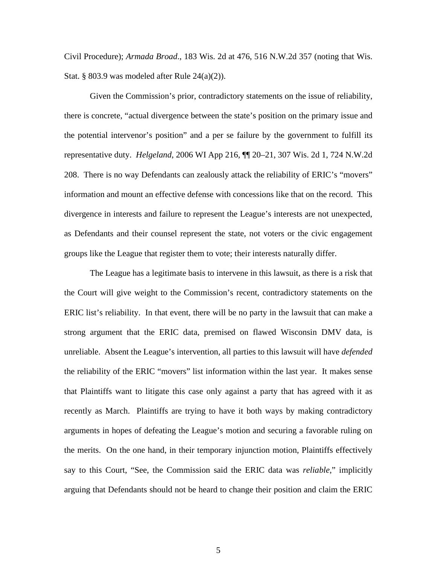Civil Procedure); *Armada Broad*., 183 Wis. 2d at 476, 516 N.W.2d 357 (noting that Wis. Stat. § 803.9 was modeled after Rule  $24(a)(2)$ ).

Given the Commission's prior, contradictory statements on the issue of reliability, there is concrete, "actual divergence between the state's position on the primary issue and the potential intervenor's position" and a per se failure by the government to fulfill its representative duty. *Helgeland*, 2006 WI App 216, ¶¶ 20–21, 307 Wis. 2d 1, 724 N.W.2d 208. There is no way Defendants can zealously attack the reliability of ERIC's "movers" information and mount an effective defense with concessions like that on the record. This divergence in interests and failure to represent the League's interests are not unexpected, as Defendants and their counsel represent the state, not voters or the civic engagement groups like the League that register them to vote; their interests naturally differ.

The League has a legitimate basis to intervene in this lawsuit, as there is a risk that the Court will give weight to the Commission's recent, contradictory statements on the ERIC list's reliability. In that event, there will be no party in the lawsuit that can make a strong argument that the ERIC data, premised on flawed Wisconsin DMV data, is unreliable. Absent the League's intervention, all parties to this lawsuit will have *defended* the reliability of the ERIC "movers" list information within the last year. It makes sense that Plaintiffs want to litigate this case only against a party that has agreed with it as recently as March. Plaintiffs are trying to have it both ways by making contradictory arguments in hopes of defeating the League's motion and securing a favorable ruling on the merits. On the one hand, in their temporary injunction motion, Plaintiffs effectively say to this Court, "See, the Commission said the ERIC data was *reliable*," implicitly arguing that Defendants should not be heard to change their position and claim the ERIC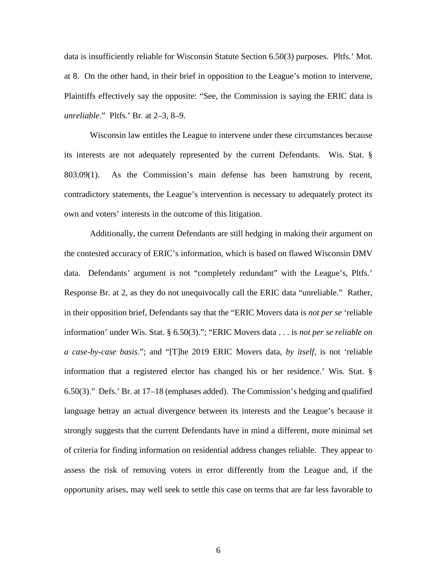data is insufficiently reliable for Wisconsin Statute Section 6.50(3) purposes. Pltfs.' Mot. at 8. On the other hand, in their brief in opposition to the League's motion to intervene, Plaintiffs effectively say the opposite: "See, the Commission is saying the ERIC data is *unreliable*." Pltfs.' Br. at 2–3, 8–9.

Wisconsin law entitles the League to intervene under these circumstances because its interests are not adequately represented by the current Defendants. Wis. Stat. § 803.09(1). As the Commission's main defense has been hamstrung by recent, contradictory statements, the League's intervention is necessary to adequately protect its own and voters' interests in the outcome of this litigation.

Additionally, the current Defendants are still hedging in making their argument on the contested accuracy of ERIC's information, which is based on flawed Wisconsin DMV data. Defendants' argument is not "completely redundant" with the League's, Pltfs.' Response Br. at 2, as they do not unequivocally call the ERIC data "unreliable." Rather, in their opposition brief, Defendants say that the "ERIC Movers data is *not per se* 'reliable information' under Wis. Stat. § 6.50(3)."; "ERIC Movers data . . . is *not per se reliable on a case-by-case basis.*"; and "[T]he 2019 ERIC Movers data, *by itself*, is not 'reliable information that a registered elector has changed his or her residence.' Wis. Stat. § 6.50(3)." Defs.' Br. at 17–18 (emphases added). The Commission's hedging and qualified language betray an actual divergence between its interests and the League's because it strongly suggests that the current Defendants have in mind a different, more minimal set of criteria for finding information on residential address changes reliable. They appear to assess the risk of removing voters in error differently from the League and, if the opportunity arises, may well seek to settle this case on terms that are far less favorable to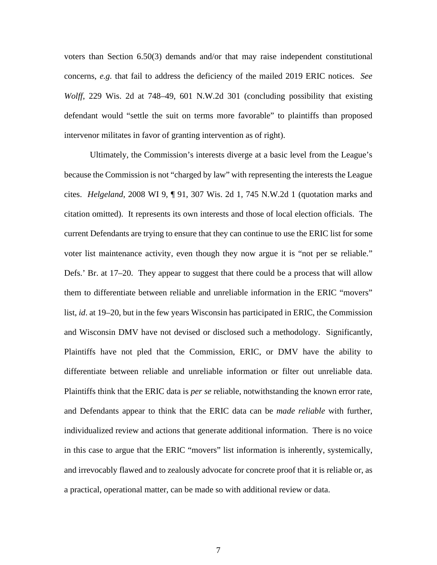voters than Section 6.50(3) demands and/or that may raise independent constitutional concerns, *e.g.* that fail to address the deficiency of the mailed 2019 ERIC notices. *See Wolff*, 229 Wis. 2d at 748–49, 601 N.W.2d 301 (concluding possibility that existing defendant would "settle the suit on terms more favorable" to plaintiffs than proposed intervenor militates in favor of granting intervention as of right).

Ultimately, the Commission's interests diverge at a basic level from the League's because the Commission is not "charged by law" with representing the interests the League cites. *Helgeland*, 2008 WI 9, ¶ 91, 307 Wis. 2d 1, 745 N.W.2d 1 (quotation marks and citation omitted). It represents its own interests and those of local election officials. The current Defendants are trying to ensure that they can continue to use the ERIC list for some voter list maintenance activity, even though they now argue it is "not per se reliable." Defs.' Br. at 17–20. They appear to suggest that there could be a process that will allow them to differentiate between reliable and unreliable information in the ERIC "movers" list, *id*. at 19–20, but in the few years Wisconsin has participated in ERIC, the Commission and Wisconsin DMV have not devised or disclosed such a methodology. Significantly, Plaintiffs have not pled that the Commission, ERIC, or DMV have the ability to differentiate between reliable and unreliable information or filter out unreliable data. Plaintiffs think that the ERIC data is *per se* reliable, notwithstanding the known error rate, and Defendants appear to think that the ERIC data can be *made reliable* with further, individualized review and actions that generate additional information. There is no voice in this case to argue that the ERIC "movers" list information is inherently, systemically, and irrevocably flawed and to zealously advocate for concrete proof that it is reliable or, as a practical, operational matter, can be made so with additional review or data.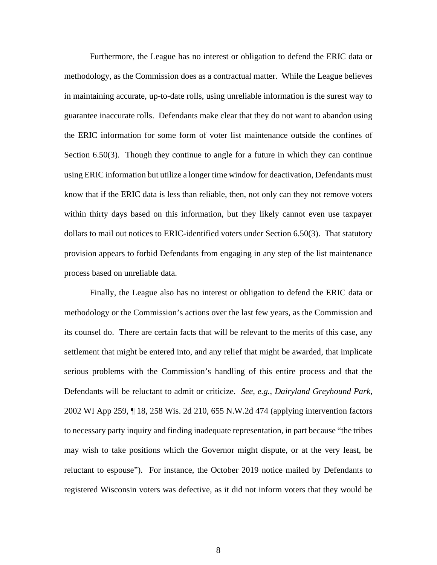Furthermore, the League has no interest or obligation to defend the ERIC data or methodology, as the Commission does as a contractual matter. While the League believes in maintaining accurate, up-to-date rolls, using unreliable information is the surest way to guarantee inaccurate rolls. Defendants make clear that they do not want to abandon using the ERIC information for some form of voter list maintenance outside the confines of Section 6.50(3). Though they continue to angle for a future in which they can continue using ERIC information but utilize a longer time window for deactivation, Defendants must know that if the ERIC data is less than reliable, then, not only can they not remove voters within thirty days based on this information, but they likely cannot even use taxpayer dollars to mail out notices to ERIC-identified voters under Section 6.50(3). That statutory provision appears to forbid Defendants from engaging in any step of the list maintenance process based on unreliable data.

Finally, the League also has no interest or obligation to defend the ERIC data or methodology or the Commission's actions over the last few years, as the Commission and its counsel do. There are certain facts that will be relevant to the merits of this case, any settlement that might be entered into, and any relief that might be awarded, that implicate serious problems with the Commission's handling of this entire process and that the Defendants will be reluctant to admit or criticize. *See, e.g.*, *Dairyland Greyhound Park*, 2002 WI App 259, ¶ 18, 258 Wis. 2d 210, 655 N.W.2d 474 (applying intervention factors to necessary party inquiry and finding inadequate representation, in part because "the tribes may wish to take positions which the Governor might dispute, or at the very least, be reluctant to espouse"). For instance, the October 2019 notice mailed by Defendants to registered Wisconsin voters was defective, as it did not inform voters that they would be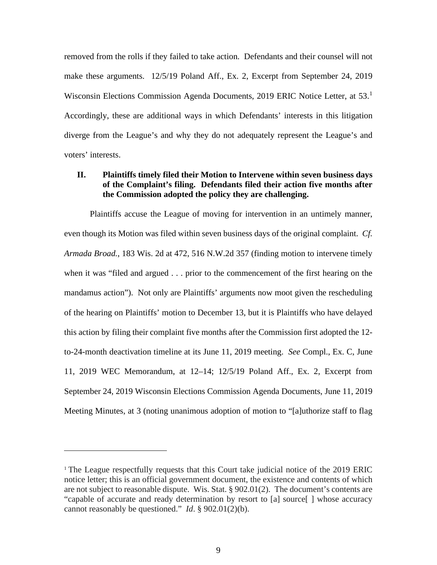removed from the rolls if they failed to take action. Defendants and their counsel will not make these arguments. 12/5/19 Poland Aff., Ex. 2, Excerpt from September 24, 2019 Wisconsin Elections Commission Agenda Documents, 20[1](#page-8-0)9 ERIC Notice Letter, at 53.<sup>1</sup> Accordingly, these are additional ways in which Defendants' interests in this litigation diverge from the League's and why they do not adequately represent the League's and voters' interests.

## **II. Plaintiffs timely filed their Motion to Intervene within seven business days of the Complaint's filing. Defendants filed their action five months after the Commission adopted the policy they are challenging.**

Plaintiffs accuse the League of moving for intervention in an untimely manner, even though its Motion was filed within seven business days of the original complaint. *Cf. Armada Broad.*, 183 Wis. 2d at 472, 516 N.W.2d 357 (finding motion to intervene timely when it was "filed and argued . . . prior to the commencement of the first hearing on the mandamus action"). Not only are Plaintiffs' arguments now moot given the rescheduling of the hearing on Plaintiffs' motion to December 13, but it is Plaintiffs who have delayed this action by filing their complaint five months after the Commission first adopted the 12 to-24-month deactivation timeline at its June 11, 2019 meeting. *See* Compl., Ex. C, June 11, 2019 WEC Memorandum, at 12–14; 12/5/19 Poland Aff., Ex. 2, Excerpt from September 24, 2019 Wisconsin Elections Commission Agenda Documents, June 11, 2019 Meeting Minutes, at 3 (noting unanimous adoption of motion to "[a]uthorize staff to flag

<span id="page-8-0"></span><sup>&</sup>lt;sup>1</sup> The League respectfully requests that this Court take judicial notice of the 2019 ERIC notice letter; this is an official government document, the existence and contents of which are not subject to reasonable dispute. Wis. Stat. § 902.01(2). The document's contents are "capable of accurate and ready determination by resort to [a] source[ ] whose accuracy cannot reasonably be questioned." *Id*. § 902.01(2)(b).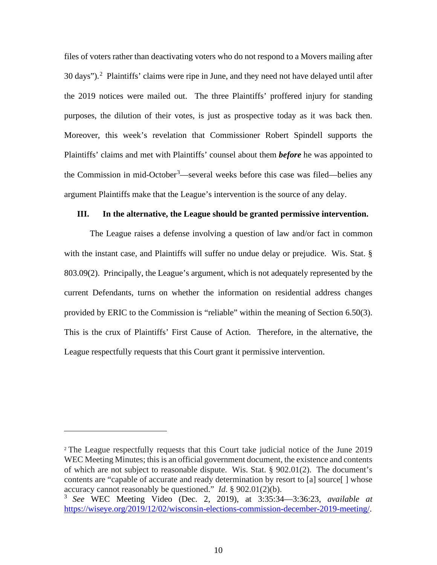files of voters rather than deactivating voters who do not respond to a Movers mailing after  $30 \text{ days}$ ").<sup>[2](#page-9-0)</sup> Plaintiffs' claims were ripe in June, and they need not have delayed until after the 2019 notices were mailed out. The three Plaintiffs' proffered injury for standing purposes, the dilution of their votes, is just as prospective today as it was back then. Moreover, this week's revelation that Commissioner Robert Spindell supports the Plaintiffs' claims and met with Plaintiffs' counsel about them *before* he was appointed to the Commission in mid-October<sup>[3](#page-9-1)</sup>—several weeks before this case was filed—belies any argument Plaintiffs make that the League's intervention is the source of any delay.

## **III. In the alternative, the League should be granted permissive intervention.**

The League raises a defense involving a question of law and/or fact in common with the instant case, and Plaintiffs will suffer no undue delay or prejudice. Wis. Stat. § 803.09(2). Principally, the League's argument, which is not adequately represented by the current Defendants, turns on whether the information on residential address changes provided by ERIC to the Commission is "reliable" within the meaning of Section 6.50(3). This is the crux of Plaintiffs' First Cause of Action. Therefore, in the alternative, the League respectfully requests that this Court grant it permissive intervention.

<span id="page-9-0"></span><sup>2</sup> The League respectfully requests that this Court take judicial notice of the June 2019 WEC Meeting Minutes; this is an official government document, the existence and contents of which are not subject to reasonable dispute. Wis. Stat. § 902.01(2). The document's contents are "capable of accurate and ready determination by resort to [a] source[ ] whose accuracy cannot reasonably be questioned." *Id*. § 902.01(2)(b).

<span id="page-9-1"></span><sup>3</sup> *See* WEC Meeting Video (Dec. 2, 2019), at 3:35:34—3:36:23, *available at* [https://wiseye.org/2019/12/02/wisconsin-elections-commission-december-2019-meeting/.](https://wiseye.org/2019/12/02/wisconsin-elections-commission-december-2019-meeting/)